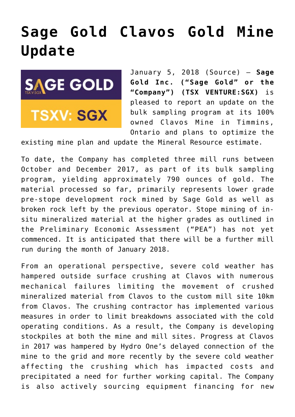## **[Sage Gold Clavos Gold Mine](https://investorintel.com/markets/gold-silver-base-metals/gold-precious-metals-news/sage-gold-clavos-gold-mine-update/) [Update](https://investorintel.com/markets/gold-silver-base-metals/gold-precious-metals-news/sage-gold-clavos-gold-mine-update/)**



January 5, 2018 ([Source](https://investorintel.com/iintel-members/sage-gold-inc/)) — **Sage Gold Inc. ("Sage Gold" or the "Company") (TSX VENTURE:SGX)** is pleased to report an update on the bulk sampling program at its 100% owned Clavos Mine in Timmins, Ontario and plans to optimize the

existing mine plan and update the Mineral Resource estimate.

To date, the Company has completed three mill runs between October and December 2017, as part of its bulk sampling program, yielding approximately 790 ounces of gold. The material processed so far, primarily represents lower grade pre-stope development rock mined by Sage Gold as well as broken rock left by the previous operator. Stope mining of insitu mineralized material at the higher grades as outlined in the Preliminary Economic Assessment ("PEA") has not yet commenced. It is anticipated that there will be a further mill run during the month of January 2018.

From an operational perspective, severe cold weather has hampered outside surface crushing at Clavos with numerous mechanical failures limiting the movement of crushed mineralized material from Clavos to the custom mill site 10km from Clavos. The crushing contractor has implemented various measures in order to limit breakdowns associated with the cold operating conditions. As a result, the Company is developing stockpiles at both the mine and mill sites. Progress at Clavos in 2017 was hampered by Hydro One's delayed connection of the mine to the grid and more recently by the severe cold weather affecting the crushing which has impacted costs and precipitated a need for further working capital. The Company is also actively sourcing equipment financing for new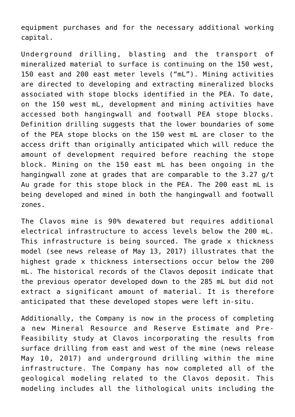equipment purchases and for the necessary additional working capital.

Underground drilling, blasting and the transport of mineralized material to surface is continuing on the 150 west, 150 east and 200 east meter levels ("mL"). Mining activities are directed to developing and extracting mineralized blocks associated with stope blocks identified in the PEA. To date, on the 150 west mL, development and mining activities have accessed both hangingwall and footwall PEA stope blocks. Definition drilling suggests that the lower boundaries of some of the PEA stope blocks on the 150 west mL are closer to the access drift than originally anticipated which will reduce the amount of development required before reaching the stope block. Mining on the 150 east mL has been ongoing in the hangingwall zone at grades that are comparable to the 3.27 g/t Au grade for this stope block in the PEA. The 200 east mL is being developed and mined in both the hangingwall and footwall zones.

The Clavos mine is 90% dewatered but requires additional electrical infrastructure to access levels below the 200 mL. This infrastructure is being sourced. The grade x thickness model (see news release of May 13, 2017) illustrates that the highest grade x thickness intersections occur below the 200 mL. The historical records of the Clavos deposit indicate that the previous operator developed down to the 285 mL but did not extract a significant amount of material. It is therefore anticipated that these developed stopes were left in-situ.

Additionally, the Company is now in the process of completing a new Mineral Resource and Reserve Estimate and Pre-Feasibility study at Clavos incorporating the results from surface drilling from east and west of the mine (news release May 10, 2017) and underground drilling within the mine infrastructure. The Company has now completed all of the geological modeling related to the Clavos deposit. This modeling includes all the lithological units including the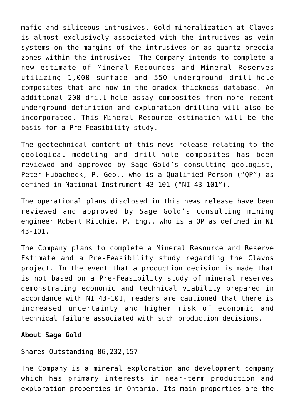mafic and siliceous intrusives. Gold mineralization at Clavos is almost exclusively associated with the intrusives as vein systems on the margins of the intrusives or as quartz breccia zones within the intrusives. The Company intends to complete a new estimate of Mineral Resources and Mineral Reserves utilizing 1,000 surface and 550 underground drill-hole composites that are now in the gradex thickness database. An additional 200 drill-hole assay composites from more recent underground definition and exploration drilling will also be incorporated. This Mineral Resource estimation will be the basis for a Pre-Feasibility study.

The geotechnical content of this news release relating to the geological modeling and drill-hole composites has been reviewed and approved by Sage Gold's consulting geologist, Peter Hubacheck, P. Geo., who is a Qualified Person ("QP") as defined in National Instrument 43-101 ("NI 43-101").

The operational plans disclosed in this news release have been reviewed and approved by Sage Gold's consulting mining engineer Robert Ritchie, P. Eng., who is a QP as defined in NI 43-101.

The Company plans to complete a Mineral Resource and Reserve Estimate and a Pre-Feasibility study regarding the Clavos project. In the event that a production decision is made that is not based on a Pre-Feasibility study of mineral reserves demonstrating economic and technical viability prepared in accordance with NI 43-101, readers are cautioned that there is increased uncertainty and higher risk of economic and technical failure associated with such production decisions.

## **About Sage Gold**

Shares Outstanding 86,232,157

The Company is a mineral exploration and development company which has primary interests in near-term production and exploration properties in Ontario. Its main properties are the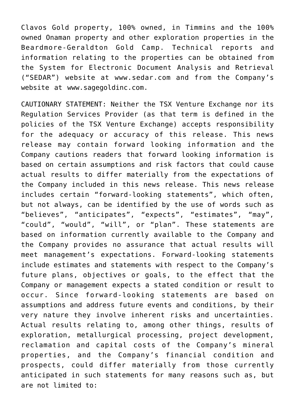Clavos Gold property, 100% owned, in Timmins and the 100% owned Onaman property and other exploration properties in the Beardmore-Geraldton Gold Camp. Technical reports and information relating to the properties can be obtained from the System for Electronic Document Analysis and Retrieval ("SEDAR") website at [www.sedar.com](http://www.sedar.com/) and from the Company's website at [www.sagegoldinc.com](http://www.sagegoldinc.com/).

CAUTIONARY STATEMENT: Neither the TSX Venture Exchange nor its Regulation Services Provider (as that term is defined in the policies of the TSX Venture Exchange) accepts responsibility for the adequacy or accuracy of this release. This news release may contain forward looking information and the Company cautions readers that forward looking information is based on certain assumptions and risk factors that could cause actual results to differ materially from the expectations of the Company included in this news release. This news release includes certain "forward-looking statements", which often, but not always, can be identified by the use of words such as "believes", "anticipates", "expects", "estimates", "may", "could", "would", "will", or "plan". These statements are based on information currently available to the Company and the Company provides no assurance that actual results will meet management's expectations. Forward-looking statements include estimates and statements with respect to the Company's future plans, objectives or goals, to the effect that the Company or management expects a stated condition or result to occur. Since forward-looking statements are based on assumptions and address future events and conditions, by their very nature they involve inherent risks and uncertainties. Actual results relating to, among other things, results of exploration, metallurgical processing, project development, reclamation and capital costs of the Company's mineral properties, and the Company's financial condition and prospects, could differ materially from those currently anticipated in such statements for many reasons such as, but are not limited to: